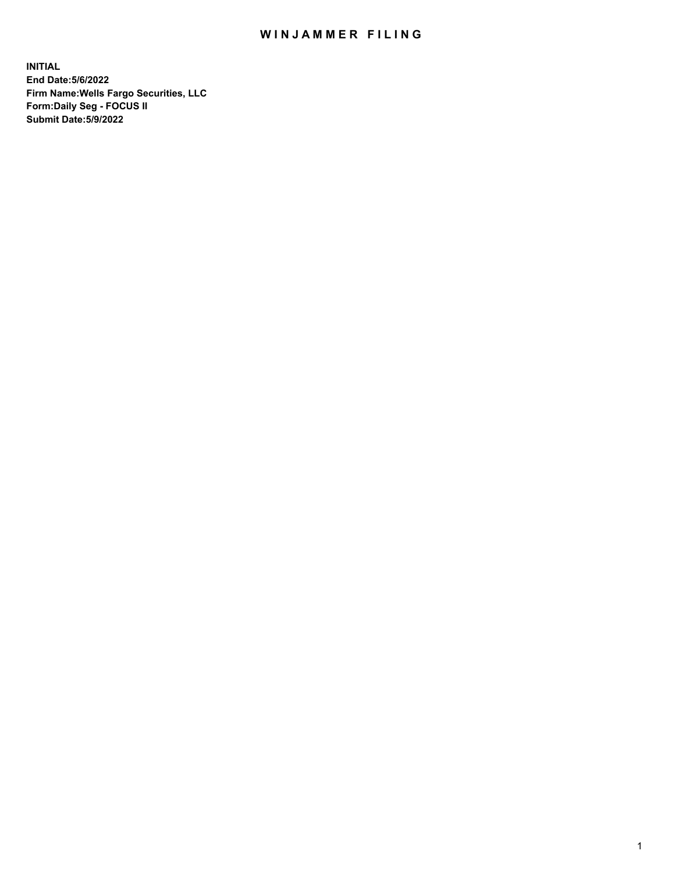## WIN JAMMER FILING

**INITIAL End Date:5/6/2022 Firm Name:Wells Fargo Securities, LLC Form:Daily Seg - FOCUS II Submit Date:5/9/2022**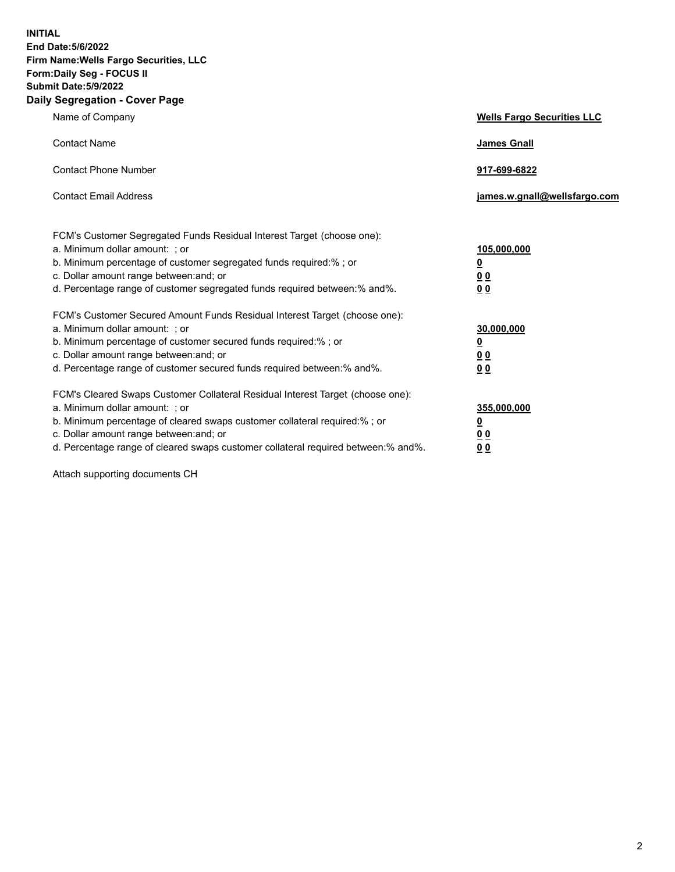**INITIAL End Date:5/6/2022 Firm Name:Wells Fargo Securities, LLC Form:Daily Seg - FOCUS II Submit Date:5/9/2022 Daily Segregation - Cover Page**

| Name of Company                                                                   | <b>Wells Fargo Securities LLC</b> |
|-----------------------------------------------------------------------------------|-----------------------------------|
| <b>Contact Name</b>                                                               | <b>James Gnall</b>                |
|                                                                                   |                                   |
| <b>Contact Phone Number</b>                                                       | 917-699-6822                      |
| <b>Contact Email Address</b>                                                      | james.w.gnall@wellsfargo.com      |
|                                                                                   |                                   |
| FCM's Customer Segregated Funds Residual Interest Target (choose one):            |                                   |
| a. Minimum dollar amount: ; or                                                    | 105,000,000                       |
| b. Minimum percentage of customer segregated funds required:% ; or                | <u>0</u>                          |
| c. Dollar amount range between: and; or                                           | 00                                |
| d. Percentage range of customer segregated funds required between:% and%.         | 0 <sub>0</sub>                    |
| FCM's Customer Secured Amount Funds Residual Interest Target (choose one):        |                                   |
| a. Minimum dollar amount: ; or                                                    | 30,000,000                        |
| b. Minimum percentage of customer secured funds required:%; or                    | <u>0</u>                          |
| c. Dollar amount range between: and; or                                           | 00                                |
| d. Percentage range of customer secured funds required between: % and %.          | 00                                |
| FCM's Cleared Swaps Customer Collateral Residual Interest Target (choose one):    |                                   |
| a. Minimum dollar amount: ; or                                                    | 355,000,000                       |
| b. Minimum percentage of cleared swaps customer collateral required:% ; or        | <u>0</u>                          |
| c. Dollar amount range between: and; or                                           | <u>00</u>                         |
| d. Percentage range of cleared swaps customer collateral required between:% and%. | 00                                |
|                                                                                   |                                   |

Attach supporting documents CH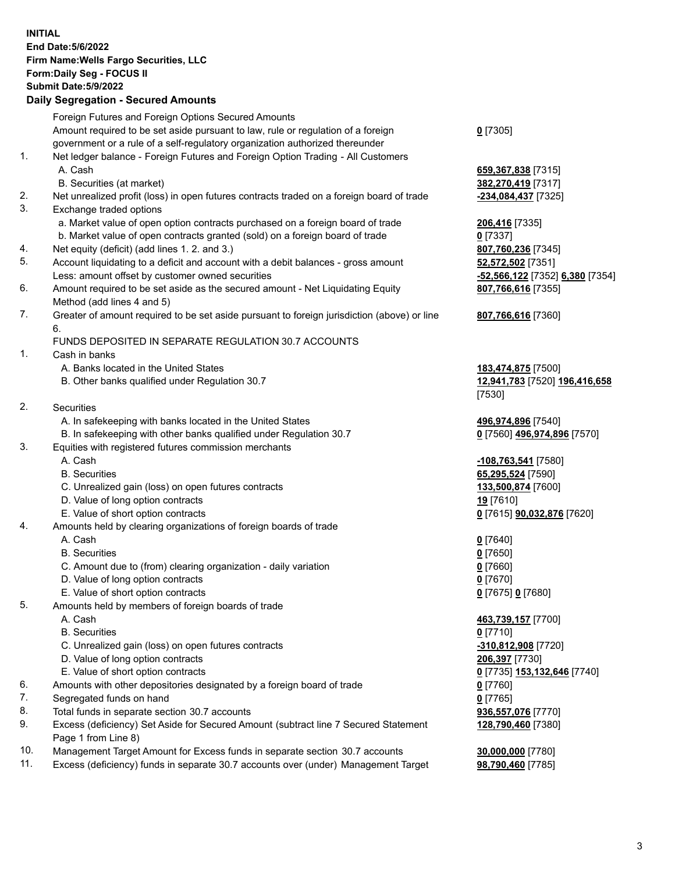**INITIAL End Date:5/6/2022 Firm Name:Wells Fargo Securities, LLC Form:Daily Seg - FOCUS II Submit Date:5/9/2022 Daily Segregation - Secured Amounts** Foreign Futures and Foreign Options Secured Amounts Amount required to be set aside pursuant to law, rule or regulation of a foreign government or a rule of a self-regulatory organization authorized thereunder **0** [7305] 1. Net ledger balance - Foreign Futures and Foreign Option Trading - All Customers A. Cash **659,367,838** [7315] B. Securities (at market) **382,270,419** [7317] 2. Net unrealized profit (loss) in open futures contracts traded on a foreign board of trade **-234,084,437** [7325] 3. Exchange traded options a. Market value of open option contracts purchased on a foreign board of trade **206,416** [7335] b. Market value of open contracts granted (sold) on a foreign board of trade **0** [7337] 4. Net equity (deficit) (add lines 1. 2. and 3.) **807,760,236** [7345] 5. Account liquidating to a deficit and account with a debit balances - gross amount **52,572,502** [7351] Less: amount offset by customer owned securities **-52,566,122** [7352] **6,380** [7354] 6. Amount required to be set aside as the secured amount - Net Liquidating Equity Method (add lines 4 and 5) **807,766,616** [7355] 7. Greater of amount required to be set aside pursuant to foreign jurisdiction (above) or line 6. **807,766,616** [7360] FUNDS DEPOSITED IN SEPARATE REGULATION 30.7 ACCOUNTS 1. Cash in banks A. Banks located in the United States **183,474,875** [7500] B. Other banks qualified under Regulation 30.7 **12,941,783** [7520] **196,416,658** [7530] 2. Securities A. In safekeeping with banks located in the United States **496,974,896** [7540] B. In safekeeping with other banks qualified under Regulation 30.7 **0** [7560] **496,974,896** [7570] 3. Equities with registered futures commission merchants A. Cash **-108,763,541** [7580] B. Securities **65,295,524** [7590] C. Unrealized gain (loss) on open futures contracts **133,500,874** [7600] D. Value of long option contracts **19** [7610] E. Value of short option contracts **0** [7615] **90,032,876** [7620] 4. Amounts held by clearing organizations of foreign boards of trade A. Cash **0** [7640] B. Securities **0** [7650] C. Amount due to (from) clearing organization - daily variation **0** [7660] D. Value of long option contracts **0** [7670] E. Value of short option contracts **0** [7675] **0** [7680] 5. Amounts held by members of foreign boards of trade A. Cash **463,739,157** [7700] B. Securities **0** [7710] C. Unrealized gain (loss) on open futures contracts **-310,812,908** [7720] D. Value of long option contracts **206,397** [7730] E. Value of short option contracts **0** [7735] **153,132,646** [7740] 6. Amounts with other depositories designated by a foreign board of trade **0** [7760] 7. Segregated funds on hand **0** [7765] 8. Total funds in separate section 30.7 accounts **936,557,076** [7770] 9. Excess (deficiency) Set Aside for Secured Amount (subtract line 7 Secured Statement Page 1 from Line 8) **128,790,460** [7380]

- 10. Management Target Amount for Excess funds in separate section 30.7 accounts **30,000,000** [7780]
- 11. Excess (deficiency) funds in separate 30.7 accounts over (under) Management Target **98,790,460** [7785]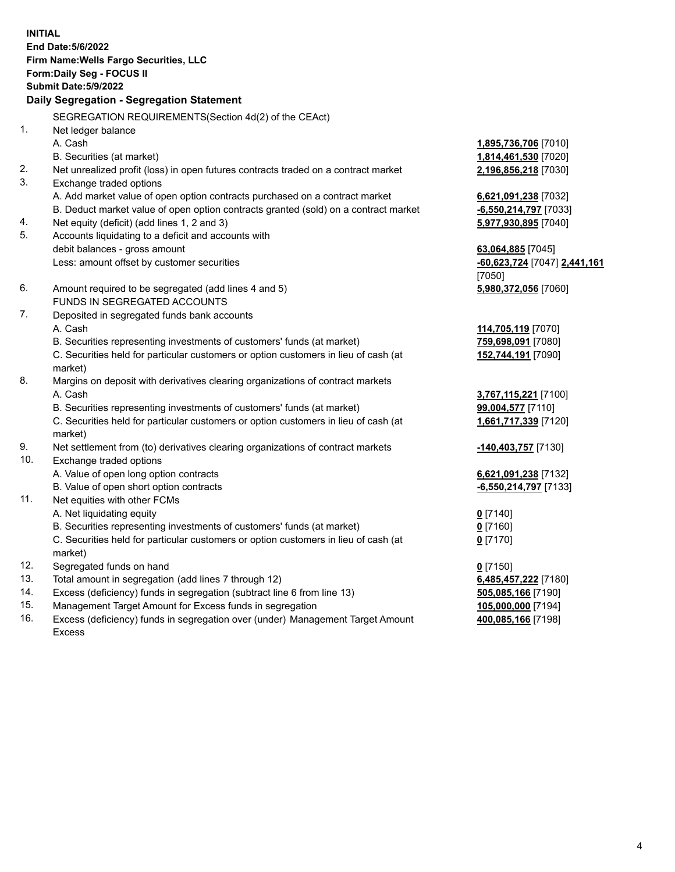**INITIAL End Date:5/6/2022 Firm Name:Wells Fargo Securities, LLC Form:Daily Seg - FOCUS II Submit Date:5/9/2022 Daily Segregation - Segregation Statement** SEGREGATION REQUIREMENTS(Section 4d(2) of the CEAct) 1. Net ledger balance A. Cash **1,895,736,706** [7010] B. Securities (at market) **1,814,461,530** [7020] 2. Net unrealized profit (loss) in open futures contracts traded on a contract market **2,196,856,218** [7030] 3. Exchange traded options A. Add market value of open option contracts purchased on a contract market **6,621,091,238** [7032] B. Deduct market value of open option contracts granted (sold) on a contract market **-6,550,214,797** [7033] 4. Net equity (deficit) (add lines 1, 2 and 3) **5,977,930,895** [7040] 5. Accounts liquidating to a deficit and accounts with debit balances - gross amount **63,064,885** [7045] Less: amount offset by customer securities **-60,623,724** [7047] **2,441,161** [7050] 6. Amount required to be segregated (add lines 4 and 5) **5,980,372,056** [7060] FUNDS IN SEGREGATED ACCOUNTS 7. Deposited in segregated funds bank accounts A. Cash **114,705,119** [7070] B. Securities representing investments of customers' funds (at market) **759,698,091** [7080] C. Securities held for particular customers or option customers in lieu of cash (at market) **152,744,191** [7090] 8. Margins on deposit with derivatives clearing organizations of contract markets A. Cash **3,767,115,221** [7100] B. Securities representing investments of customers' funds (at market) **99,004,577** [7110] C. Securities held for particular customers or option customers in lieu of cash (at market) **1,661,717,339** [7120] 9. Net settlement from (to) derivatives clearing organizations of contract markets **-140,403,757** [7130] 10. Exchange traded options A. Value of open long option contracts **6,621,091,238** [7132] B. Value of open short option contracts **-6,550,214,797** [7133] 11. Net equities with other FCMs A. Net liquidating equity **0** [7140] B. Securities representing investments of customers' funds (at market) **0** [7160] C. Securities held for particular customers or option customers in lieu of cash (at market) **0** [7170] 12. Segregated funds on hand **0** [7150] 13. Total amount in segregation (add lines 7 through 12) **6,485,457,222** [7180] 14. Excess (deficiency) funds in segregation (subtract line 6 from line 13) **505,085,166** [7190] 15. Management Target Amount for Excess funds in segregation **105,000,000** [7194] **400,085,166** [7198]

16. Excess (deficiency) funds in segregation over (under) Management Target Amount Excess